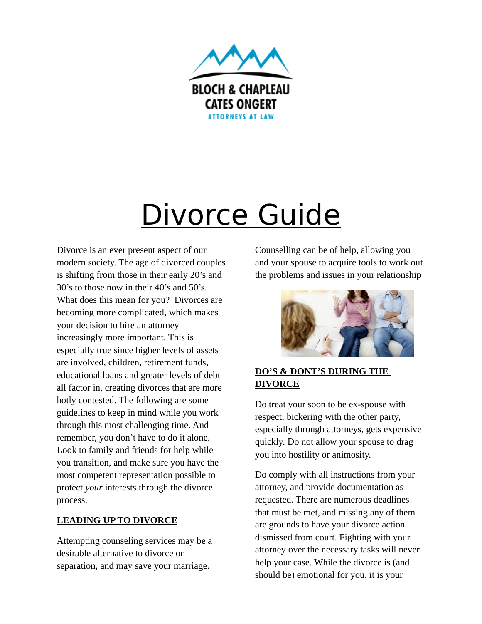

# Divorce Guide

Divorce is an ever present aspect of our modern society. The age of divorced couples is shifting from those in their early 20's and 30's to those now in their 40's and 50's. What does this mean for you? Divorces are becoming more complicated, which makes your decision to hire an attorney increasingly more important. This is especially true since higher levels of assets are involved, children, retirement funds, educational loans and greater levels of debt all factor in, creating divorces that are more hotly contested. The following are some guidelines to keep in mind while you work through this most challenging time. And remember, you don't have to do it alone. Look to family and friends for help while you transition, and make sure you have the most competent representation possible to protect *your* interests through the divorce process.

## **LEADING UP TO DIVORCE**

Attempting counseling services may be a desirable alternative to divorce or separation, and may save your marriage.

Counselling can be of help, allowing you and your spouse to acquire tools to work out the problems and issues in your relationship



## **DO'S & DONT'S DURING THE DIVORCE**

Do treat your soon to be ex-spouse with respect; bickering with the other party, especially through attorneys, gets expensive quickly. Do not allow your spouse to drag you into hostility or animosity.

Do comply with all instructions from your attorney, and provide documentation as requested. There are numerous deadlines that must be met, and missing any of them are grounds to have your divorce action dismissed from court. Fighting with your attorney over the necessary tasks will never help your case. While the divorce is (and should be) emotional for you, it is your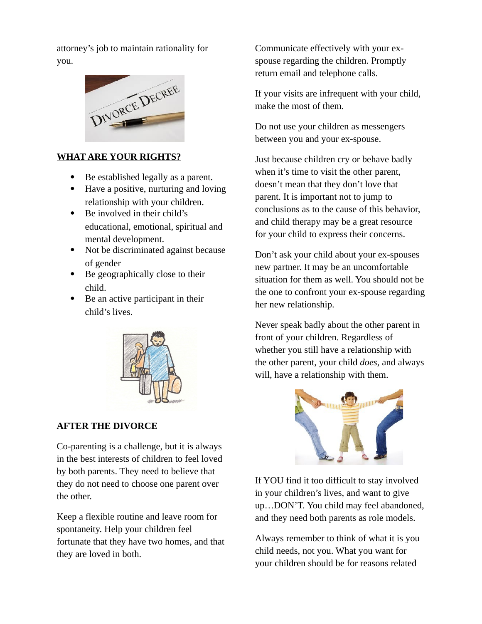attorney's job to maintain rationality for you.



### **WHAT ARE YOUR RIGHTS?**

- Be established legally as a parent.
- Have a positive, nurturing and loving relationship with your children.
- Be involved in their child's educational, emotional, spiritual and mental development.
- Not be discriminated against because of gender
- Be geographically close to their child.
- Be an active participant in their child's lives.



## **AFTER THE DIVORCE**

Co-parenting is a challenge, but it is always in the best interests of children to feel loved by both parents. They need to believe that they do not need to choose one parent over the other.

Keep a flexible routine and leave room for spontaneity. Help your children feel fortunate that they have two homes, and that they are loved in both.

Communicate effectively with your exspouse regarding the children. Promptly return email and telephone calls.

If your visits are infrequent with your child, make the most of them.

Do not use your children as messengers between you and your ex-spouse.

Just because children cry or behave badly when it's time to visit the other parent, doesn't mean that they don't love that parent. It is important not to jump to conclusions as to the cause of this behavior, and child therapy may be a great resource for your child to express their concerns.

Don't ask your child about your ex-spouses new partner. It may be an uncomfortable situation for them as well. You should not be the one to confront your ex-spouse regarding her new relationship.

Never speak badly about the other parent in front of your children. Regardless of whether you still have a relationship with the other parent, your child *does*, and always will, have a relationship with them.



If YOU find it too difficult to stay involved in your children's lives, and want to give up…DON'T. You child may feel abandoned, and they need both parents as role models.

Always remember to think of what it is you child needs, not you. What you want for your children should be for reasons related